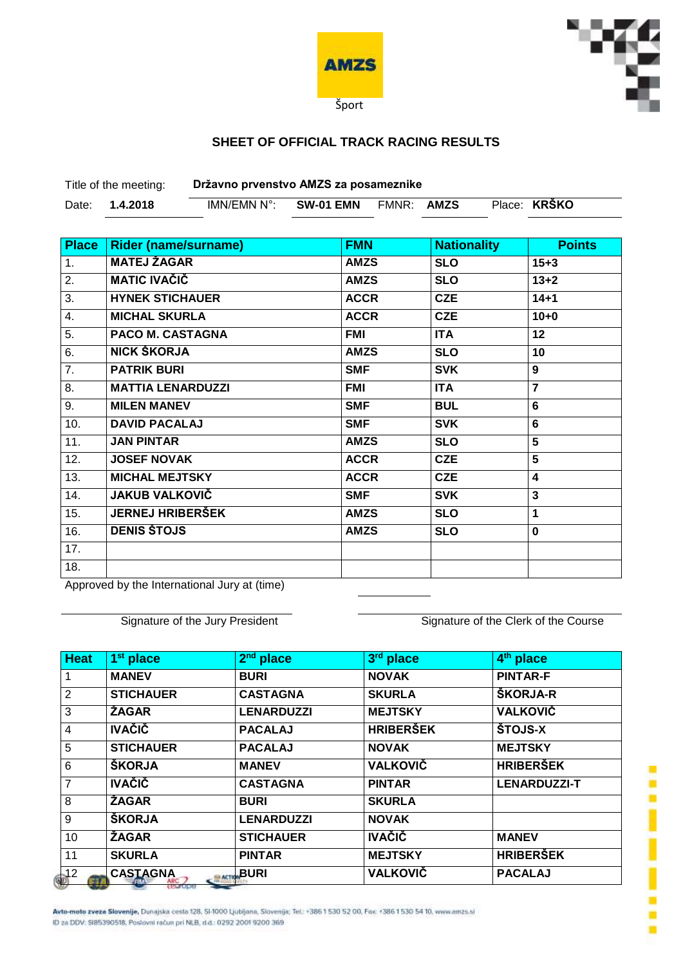



## **SHEET OF OFFICIAL TRACK RACING RESULTS**

Title of the meeting: **Državno prvenstvo AMZS za posameznike**

| Date: | $N^{\circ}$<br>IMN/FMN | EMN<br><b>SW-01</b> | EMNR: | <b>AMZS</b> | Place: | <b>KRSKO</b> |
|-------|------------------------|---------------------|-------|-------------|--------|--------------|
|       |                        |                     |       |             |        |              |

| <b>Place</b>     | <b>Rider (name/surname)</b> | <b>FMN</b>  | <b>Nationality</b> | <b>Points</b>  |
|------------------|-----------------------------|-------------|--------------------|----------------|
| 1.               | <b>MATEJ ŽAGAR</b>          | <b>AMZS</b> | <b>SLO</b>         | $15 + 3$       |
| $\overline{2}$ . | <b>MATIC IVAČIČ</b>         | <b>AMZS</b> | <b>SLO</b>         | $13 + 2$       |
| 3.               | <b>HYNEK STICHAUER</b>      | <b>ACCR</b> | <b>CZE</b>         | $14 + 1$       |
| $\overline{4}$ . | <b>MICHAL SKURLA</b>        | <b>ACCR</b> | <b>CZE</b>         | $10 + 0$       |
| $\overline{5}$ . | <b>PACO M. CASTAGNA</b>     | FMI         | <b>ITA</b>         | 12             |
| 6.               | NICK ŠKORJA                 | <b>AMZS</b> | <b>SLO</b>         | 10             |
| $\overline{7}$ . | <b>PATRIK BURI</b>          | <b>SMF</b>  | <b>SVK</b>         | 9              |
| 8.               | <b>MATTIA LENARDUZZI</b>    | <b>FMI</b>  | <b>ITA</b>         | $\overline{7}$ |
| 9.               | <b>MILEN MANEV</b>          | <b>SMF</b>  | <b>BUL</b>         | 6              |
| 10.              | <b>DAVID PACALAJ</b>        | <b>SMF</b>  | <b>SVK</b>         | 6              |
| 11.              | <b>JAN PINTAR</b>           | <b>AMZS</b> | <b>SLO</b>         | 5              |
| 12.              | <b>JOSEF NOVAK</b>          | <b>ACCR</b> | <b>CZE</b>         | 5              |
| 13.              | <b>MICHAL MEJTSKY</b>       | <b>ACCR</b> | <b>CZE</b>         | 4              |
| 14.              | <b>JAKUB VALKOVIČ</b>       | <b>SMF</b>  | <b>SVK</b>         | 3              |
| 15.              | <b>JERNEJ HRIBERŠEK</b>     | <b>AMZS</b> | <b>SLO</b>         | 1              |
| 16.              | <b>DENIS ŠTOJS</b>          | <b>AMZS</b> | <b>SLO</b>         | $\bf{0}$       |
| 17.              |                             |             |                    |                |
| 18.              |                             |             |                    |                |

Approved by the International Jury at (time)

Signature of the Jury President Signature of the Clerk of the Course

| <b>Heat</b>    | 1 <sup>st</sup> place            | 2 <sup>nd</sup> place | 3rd place        | 4 <sup>th</sup> place |
|----------------|----------------------------------|-----------------------|------------------|-----------------------|
| 1              | <b>MANEV</b>                     | <b>BURI</b>           | <b>NOVAK</b>     | <b>PINTAR-F</b>       |
| 2              | <b>STICHAUER</b>                 | <b>CASTAGNA</b>       | <b>SKURLA</b>    | <b>ŠKORJA-R</b>       |
| 3              | ŽAGAR                            | <b>LENARDUZZI</b>     | <b>MEJTSKY</b>   | <b>VALKOVIČ</b>       |
| 4              | <b>IVAČIČ</b>                    | <b>PACALAJ</b>        | <b>HRIBERŠEK</b> | ŠTOJS-X               |
| 5              | <b>STICHAUER</b>                 | <b>PACALAJ</b>        | <b>NOVAK</b>     | <b>MEJTSKY</b>        |
| 6              | <b>ŠKORJA</b>                    | <b>MANEV</b>          | <b>VALKOVIČ</b>  | <b>HRIBERŠEK</b>      |
| $\overline{7}$ | <b>IVAČIČ</b>                    | <b>CASTAGNA</b>       | <b>PINTAR</b>    | <b>LENARDUZZI-T</b>   |
| 8              | <b>ŽAGAR</b>                     | <b>BURI</b>           | <b>SKURLA</b>    |                       |
| 9              | <b>ŠKORJA</b>                    | <b>LENARDUZZI</b>     | <b>NOVAK</b>     |                       |
| 10             | <b>ZAGAR</b>                     | <b>STICHAUER</b>      | <b>IVAČIČ</b>    | <b>MANEV</b>          |
| 11             | <b>SKURLA</b>                    | <b>PINTAR</b>         | <b>MEJTSKY</b>   | <b>HRIBERŠEK</b>      |
| $\mathbf{12}$  | <b>CASTAGNA</b><br><b>MASTER</b> | <b>BURI</b>           | <b>VALKOVIČ</b>  | <b>PACALAJ</b>        |

Avto-moto zveza Slovenije, Dunajska cesta 128, SI-1000 Ljubljana, Slovenija; Tel.: +386 1 530 52 00, Fax: +386 1 530 54 10, www.amzs.si ID za DDV: 5I85390518, Poslovni rečun pri NLB, d.d.: 0292 2001 9200 369